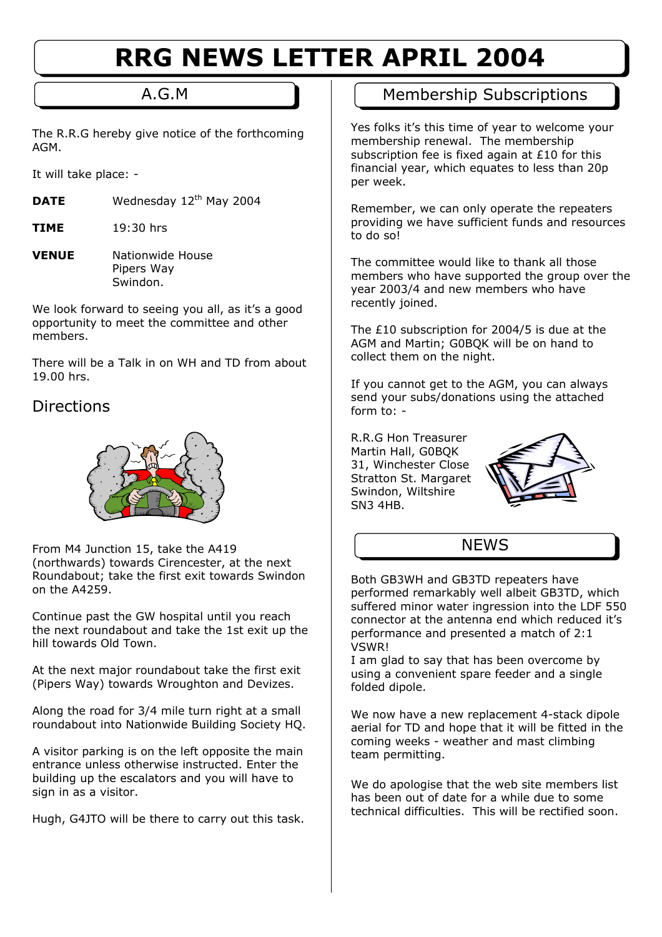# **RRG NEWS LETTER APRIL 2004**

The R.R.G hereby give notice of the forthcoming AGM.

It will take place: -

- **DATE** Wednesday 12<sup>th</sup> May 2004
- **TIME** 19:30 hrs
- **VENUE** Nationwide House Pipers Way Swindon.

We look forward to seeing you all, as it's a good opportunity to meet the committee and other members.

There will be a Talk in on WH and TD from about 19.00 hrs.

### Directions



From M4 Junction 15, take the A419 (northwards) towards Cirencester, at the next Roundabout; take the first exit towards Swindon on the A4259.

Continue past the GW hospital until you reach the next roundabout and take the 1st exit up the hill towards Old Town.

At the next major roundabout take the first exit (Pipers Way) towards Wroughton and Devizes.

Along the road for 3/4 mile turn right at a small roundabout into Nationwide Building Society HQ.

A visitor parking is on the left opposite the main entrance unless otherwise instructed. Enter the building up the escalators and you will have to sign in as a visitor.

Hugh, G4JTO will be there to carry out this task.

# A.G.M **Music Community Membership Subscriptions**

Yes folks it's this time of year to welcome your membership renewal. The membership subscription fee is fixed again at £10 for this financial year, which equates to less than 20p per week.

Remember, we can only operate the repeaters providing we have sufficient funds and resources to do so!

The committee would like to thank all those members who have supported the group over the year 2003/4 and new members who have recently joined.

The £10 subscription for 2004/5 is due at the AGM and Martin; G0BQK will be on hand to collect them on the night.

If you cannot get to the AGM, you can always send your subs/donations using the attached form  $\overline{\text{to}}$ : -

R.R.G Hon Treasurer Martin Hall, G0BQK 31, Winchester Close Stratton St. Margaret Swindon, Wiltshire SN3 4HB.



## **NFWS**

Both GB3WH and GB3TD repeaters have performed remarkably well albeit GB3TD, which suffered minor water ingression into the LDF 550 connector at the antenna end which reduced it's performance and presented a match of 2:1 VSWR!

I am glad to say that has been overcome by using a convenient spare feeder and a single folded dipole.

We now have a new replacement 4-stack dipole aerial for TD and hope that it will be fitted in the coming weeks - weather and mast climbing team permitting.

We do apologise that the web site members list has been out of date for a while due to some technical difficulties. This will be rectified soon.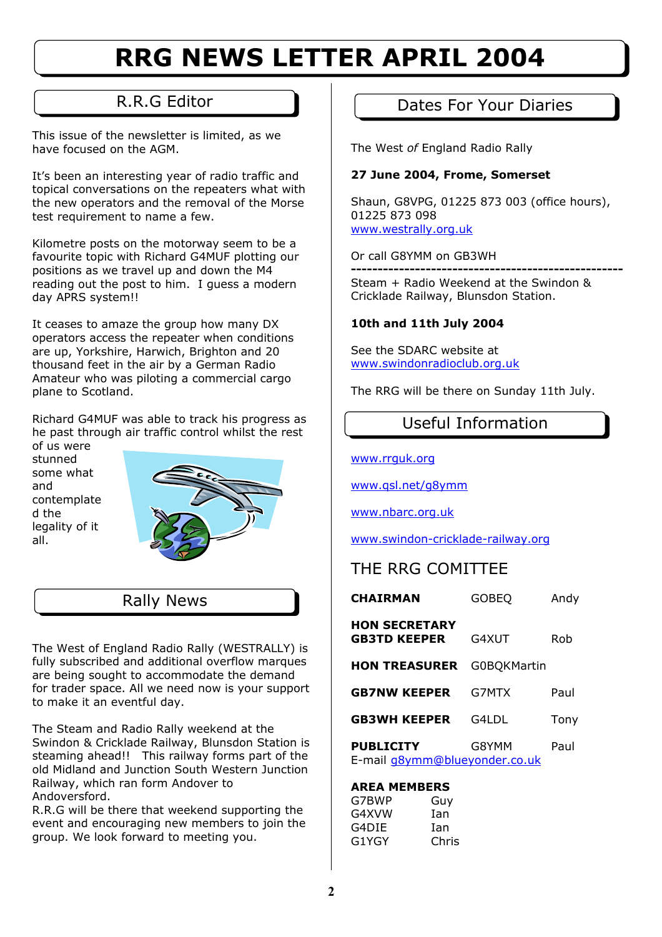# **RRG NEWS LETTER APRIL 2004**

This issue of the newsletter is limited, as we have focused on the AGM.

It's been an interesting year of radio traffic and topical conversations on the repeaters what with the new operators and the removal of the Morse test requirement to name a few.

Kilometre posts on the motorway seem to be a favourite topic with Richard G4MUF plotting our positions as we travel up and down the M4 reading out the post to him. I guess a modern day APRS system!!

It ceases to amaze the group how many DX operators access the repeater when conditions are up, Yorkshire, Harwich, Brighton and 20 thousand feet in the air by a German Radio Amateur who was piloting a commercial cargo plane to Scotland.

Richard G4MUF was able to track his progress as he past through air traffic control whilst the rest of us were

stunned some what and contemplate d the legality of it all.



### Rally News

The West of England Radio Rally (WESTRALLY) is fully subscribed and additional overflow marques are being sought to accommodate the demand for trader space. All we need now is your support to make it an eventful day.

The Steam and Radio Rally weekend at the Swindon & Cricklade Railway, Blunsdon Station is steaming ahead!! This railway forms part of the old Midland and Junction South Western Junction Railway, which ran form Andover to Andoversford.

R.R.G will be there that weekend supporting the event and encouraging new members to join the group. We look forward to meeting you.

# R.R.G Editor **National Contract Property** Dates For Your Diaries

The West *of* England Radio Rally

### **27 June 2004, Frome, Somerset**

Shaun, G8VPG, 01225 873 003 (office hours), 01225 873 098 [www.westrally.org.uk](http://www.westrally.org.uk/)

Or call G8YMM on GB3WH

**---------------------------------------------------**  Steam + Radio Weekend at the Swindon & Cricklade Railway, Blunsdon Station.

### **10th and 11th July 2004**

See the SDARC website at [www.swindonradioclub.org.uk](http://www.swindonradioclub.org.uk/)

The RRG will be there on Sunday 11th July.

Useful Information

[www.rrguk.org](http://www.rrguk.org/)

[www.qsl.net/g8ymm](http://www.qsl.net/g8ymm)

[www.nbarc.org.uk](http://www.nbarc.org.uk/)

[www.swindon-cricklade-railway.org](http://www.swindon-cricklade-railway.org/)

# THE RRG COMITTEE

| <b>CHAIRMAN</b>                                   | <b>GOBEQ</b>       | Andy |
|---------------------------------------------------|--------------------|------|
| <b>HON SECRETARY</b><br><b>GB3TD KEEPER</b>       | G4XUT              | Rob  |
| <b>HON TREASURER</b>                              | <b>G0BQKMartin</b> |      |
| <b>GB7NW KEEPER</b>                               | G7MTX              | Paul |
| <b>GB3WH KEEPER</b>                               | G4LDL              | Tony |
| <b>PUBLICITY</b><br>E-mail q8ymm@blueyonder.co.uk | G8YMM              | Paul |

### **AREA MEMBERS**

| Guy   |
|-------|
| Ian   |
| Ian   |
| Chris |
|       |